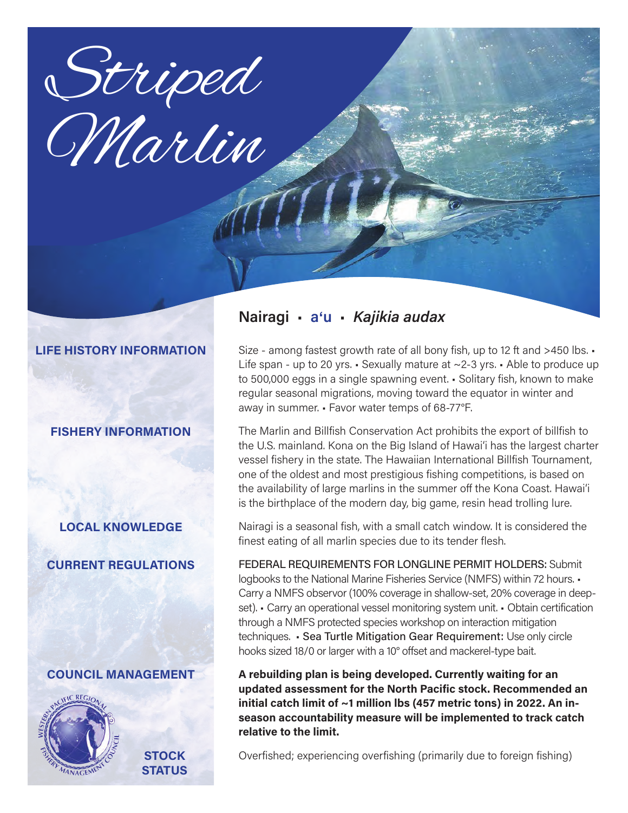Striped Marlin

## **LIFE HISTORY INFORMATION**

## **FISHERY INFORMATION**

## **LOCAL KNOWLEDGE**

**CURRENT REGULATIONS**

## **COUNCIL MANAGEMENT**



**STOCK STATUS**

## **Nairagi** • **a**'**u** • *Kajikia audax*

Size - among fastest growth rate of all bony fish, up to 12 ft and >450 lbs. • Life span - up to 20 yrs. • Sexually mature at ~2-3 yrs. • Able to produce up to 500,000 eggs in a single spawning event. • Solitary fish, known to make regular seasonal migrations, moving toward the equator in winter and away in summer. • Favor water temps of 68-77°F.

The Marlin and Billfish Conservation Act prohibits the export of billfish to the U.S. mainland. Kona on the Big Island of Hawai'i has the largest charter vessel fishery in the state. The Hawaiian International Billfish Tournament, one of the oldest and most prestigious fishing competitions, is based on the availability of large marlins in the summer off the Kona Coast. Hawai'i is the birthplace of the modern day, big game, resin head trolling lure.

Nairagi is a seasonal fish, with a small catch window. It is considered the finest eating of all marlin species due to its tender flesh.

FEDERAL REQUIREMENTS FOR LONGLINE PERMIT HOLDERS: Submit logbooks to the National Marine Fisheries Service (NMFS) within 72 hours. • Carry a NMFS observor (100% coverage in shallow-set, 20% coverage in deepset). • Carry an operational vessel monitoring system unit. • Obtain certification through a NMFS protected species workshop on interaction mitigation techniques. • Sea Turtle Mitigation Gear Requirement: Use only circle hooks sized 18/0 or larger with a 10° offset and mackerel-type bait.

**A rebuilding plan is being developed. Currently waiting for an updated assessment for the North Pacific stock. Recommended an initial catch limit of ~1 million lbs (457 metric tons) in 2022. An inseason accountability measure will be implemented to track catch relative to the limit.**

Overfished; experiencing overfishing (primarily due to foreign fishing)